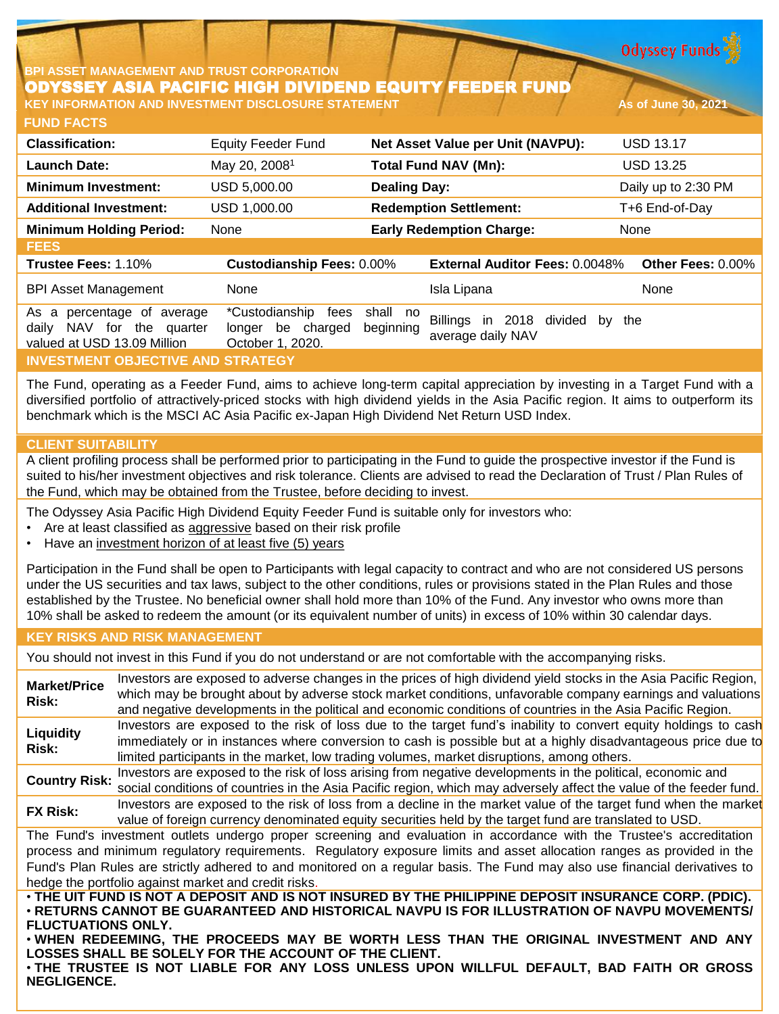**Odyssey Funds** 

#### **BPI ASSET MANAGEMENT AND TRUST CORPORATION** ODYSSEY ASIA PACIFIC HIGH DIVIDEND EQUITY FEEDER FUND **KEY INFORMATION AND INVESTMENT DISCLOSURE STATEMENT AS A SOLUTION AS OF JUNE 30, 2021**

**FUND FACTS**

| <b>Classification:</b>                                                                 | <b>Equity Feeder Fund</b>                                       |                       | Net Asset Value per Unit (NAVPU):                      | <b>USD 13.17</b>    |
|----------------------------------------------------------------------------------------|-----------------------------------------------------------------|-----------------------|--------------------------------------------------------|---------------------|
| <b>Launch Date:</b>                                                                    | May 20, 2008 <sup>1</sup>                                       |                       | <b>Total Fund NAV (Mn):</b>                            | <b>USD 13.25</b>    |
| <b>Minimum Investment:</b>                                                             | USD 5,000.00                                                    | <b>Dealing Day:</b>   |                                                        | Daily up to 2:30 PM |
| <b>Additional Investment:</b>                                                          | USD 1,000.00                                                    |                       | <b>Redemption Settlement:</b>                          | T+6 End-of-Day      |
| <b>Minimum Holding Period:</b>                                                         | None                                                            |                       | <b>Early Redemption Charge:</b>                        | None                |
| <b>FEES</b>                                                                            |                                                                 |                       |                                                        |                     |
| <b>Trustee Fees: 1.10%</b>                                                             | <b>Custodianship Fees: 0.00%</b>                                |                       | <b>External Auditor Fees: 0.0048%</b>                  | Other Fees: 0.00%   |
| <b>BPI Asset Management</b>                                                            | None                                                            |                       | Isla Lipana                                            | None                |
| As a percentage of average<br>daily NAV for the quarter<br>valued at USD 13.09 Million | *Custodianship<br>fees<br>longer be charged<br>October 1, 2020. | shall no<br>beginning | Billings in 2018<br>divided<br>bv<br>average daily NAV | the                 |
| <b>INVESTMENT OBJECTIVE AND STRATEGY</b>                                               |                                                                 |                       |                                                        |                     |

The Fund, operating as a Feeder Fund, aims to achieve long-term capital appreciation by investing in a Target Fund with a diversified portfolio of attractively-priced stocks with high dividend yields in the Asia Pacific region. It aims to outperform its benchmark which is the MSCI AC Asia Pacific ex-Japan High Dividend Net Return USD Index.

# **CLIENT SUITABILITY**

A client profiling process shall be performed prior to participating in the Fund to guide the prospective investor if the Fund is suited to his/her investment objectives and risk tolerance. Clients are advised to read the Declaration of Trust / Plan Rules of the Fund, which may be obtained from the Trustee, before deciding to invest.

The Odyssey Asia Pacific High Dividend Equity Feeder Fund is suitable only for investors who:

- Are at least classified as aggressive based on their risk profile
- Have an investment horizon of at least five (5) years

Participation in the Fund shall be open to Participants with legal capacity to contract and who are not considered US persons under the US securities and tax laws, subject to the other conditions, rules or provisions stated in the Plan Rules and those established by the Trustee. No beneficial owner shall hold more than 10% of the Fund. Any investor who owns more than 10% shall be asked to redeem the amount (or its equivalent number of units) in excess of 10% within 30 calendar days.

# **KEY RISKS AND RISK MANAGEMENT**

You should not invest in this Fund if you do not understand or are not comfortable with the accompanying risks.

**Market/Price Risk:** Investors are exposed to adverse changes in the prices of high dividend yield stocks in the Asia Pacific Region, which may be brought about by adverse stock market conditions, unfavorable company earnings and valuations and negative developments in the political and economic conditions of countries in the Asia Pacific Region. **Liquidity Risk:** Investors are exposed to the risk of loss due to the target fund's inability to convert equity holdings to cash immediately or in instances where conversion to cash is possible but at a highly disadvantageous price due to limited participants in the market, low trading volumes, market disruptions, among others. **Country Risk:** Investors are exposed to the risk of loss arising from negative developments in the political, economic and social conditions of countries in the Asia Pacific region, which may adversely affect the value of the feeder fund. **FX Risk:** Investors are exposed to the risk of loss from <sup>a</sup> decline in the market value of the target fund when the market value of foreign currency denominated equity securities held by the target fund are translated to USD. The Fund's investment outlets undergo proper screening and evaluation in accordance with the Trustee's accreditation process and minimum regulatory requirements. Regulatory exposure limits and asset allocation ranges as provided in the Fund's Plan Rules are strictly adhered to and monitored on a regular basis. The Fund may also use financial derivatives to hedge the portfolio against market and credit risks. . THE UIT FUND IS NOT A DEPOSIT AND IS NOT INSURED BY THE PHILIPPINE DEPOSIT INSURANCE CORP. (PDIC). • **RETURNS CANNOT BE GUARANTEED AND HISTORICAL NAVPU IS FOR ILLUSTRATION OF NAVPU MOVEMENTS/ FLUCTUATIONS ONLY.**

• **WHEN REDEEMING, THE PROCEEDS MAY BE WORTH LESS THAN THE ORIGINAL INVESTMENT AND ANY LOSSES SHALL BE SOLELY FOR THE ACCOUNT OF THE CLIENT.**

• **THE TRUSTEE IS NOT LIABLE FOR ANY LOSS UNLESS UPON WILLFUL DEFAULT, BAD FAITH OR GROSS NEGLIGENCE.**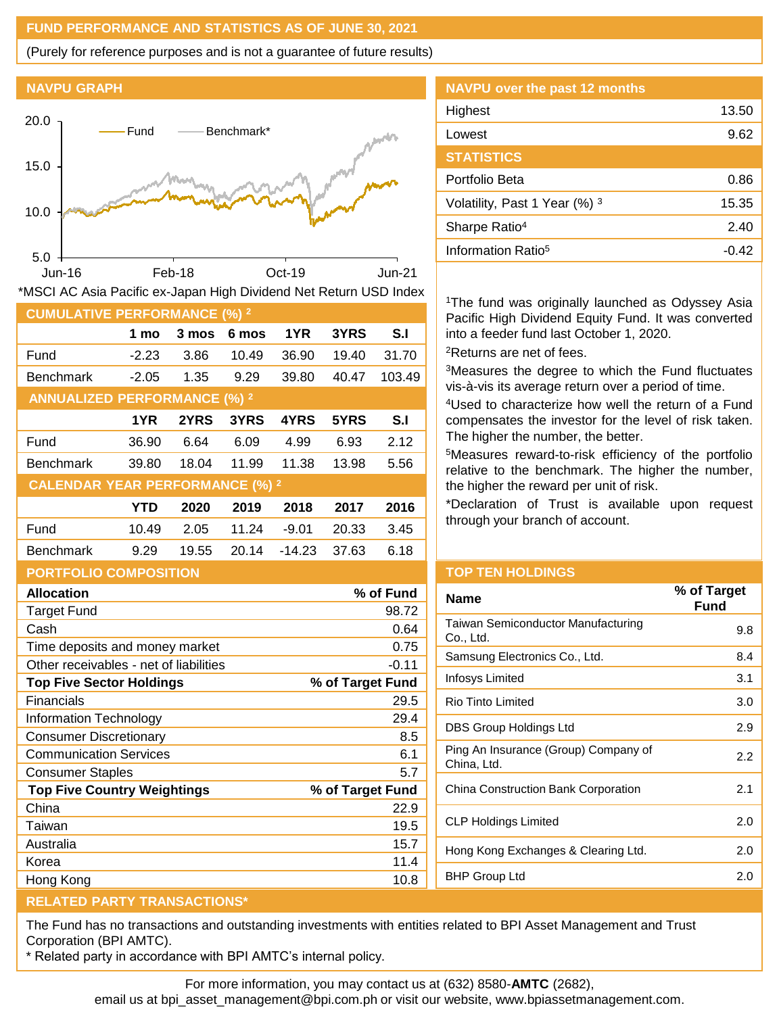### **FUND PERFORMANCE AND STATISTICS AS OF JUNE 30, 2021**

(Purely for reference purposes and is not a guarantee of future results)

# **NAVPU GRAPH**



| *MSCI AC Asia Pacific ex-Japan High Dividend Net Return USD Index |  |  |  |  |
|-------------------------------------------------------------------|--|--|--|--|
|-------------------------------------------------------------------|--|--|--|--|

| <b>CUMULATIVE PERFORMANCE (%) 2</b>    |            |       |       |          |       |        |
|----------------------------------------|------------|-------|-------|----------|-------|--------|
|                                        | 1 mo       | 3 mos | 6 mos | 1YR      | 3YRS  | S.I    |
| Fund                                   | $-2.23$    | 3.86  | 10.49 | 36.90    | 19.40 | 31.70  |
| <b>Benchmark</b>                       | $-2.05$    | 1.35  | 9.29  | 39.80    | 40.47 | 103.49 |
| <b>ANNUALIZED PERFORMANCE (%) 2</b>    |            |       |       |          |       |        |
|                                        | 1YR        | 2YRS  | 3YRS  | 4YRS     | 5YRS  | S.I    |
| Fund                                   | 36.90      | 6.64  | 6.09  | 4.99     | 6.93  | 2.12   |
| <b>Benchmark</b>                       | 39.80      | 18.04 | 11.99 | 11.38    | 13.98 | 5.56   |
| <b>CALENDAR YEAR PERFORMANCE (%) 2</b> |            |       |       |          |       |        |
|                                        | <b>YTD</b> | 2020  | 2019  | 2018     | 2017  | 2016   |
| Fund                                   | 10.49      | 2.05  | 11.24 | $-9.01$  | 20.33 | 3.45   |
| <b>Benchmark</b>                       | 9.29       | 19.55 | 20.14 | $-14.23$ | 37.63 | 6.18   |
| <b>PORTFOLIO COMPOSITION</b>           |            |       |       |          |       |        |

| <b>NAVPU over the past 12 months</b> |       |
|--------------------------------------|-------|
| Highest                              | 13.50 |
| Lowest                               | 9.62  |
| <b>STATISTICS</b>                    |       |
| Portfolio Beta                       | 0.86  |
| Volatility, Past 1 Year (%) 3        | 15.35 |
| Sharpe Ratio <sup>4</sup>            | 2.40  |
| Information Ratio <sup>5</sup>       | -0.42 |

<sup>1</sup>The fund was originally launched as Odyssey Asia Pacific High Dividend Equity Fund. It was converted into a feeder fund last October 1, 2020. <sup>2</sup>Returns are net of fees.

<sup>3</sup>Measures the degree to which the Fund fluctuates vis-à-vis its average return over a period of time.

<sup>4</sup>Used to characterize how well the return of a Fund compensates the investor for the level of risk taken. The higher the number, the better.

<sup>5</sup>Measures reward-to-risk efficiency of the portfolio relative to the benchmark. The higher the number, the higher the reward per unit of risk.

\*Declaration of Trust is available upon request through your branch of account.

| <u>UNIT ULIU UUMI UUTTUN</u>           |                  |
|----------------------------------------|------------------|
| <b>Allocation</b>                      | % of Fund        |
| <b>Target Fund</b>                     | 98.72            |
| Cash                                   | 0.64             |
| Time deposits and money market         | 0.75             |
| Other receivables - net of liabilities | $-0.11$          |
| <b>Top Five Sector Holdings</b>        | % of Target Fund |
| Financials                             | 29.5             |
| Information Technology                 | 29.4             |
| <b>Consumer Discretionary</b>          | 8.5              |
| <b>Communication Services</b>          | 6.1              |
| <b>Consumer Staples</b>                | 5.7              |
| <b>Top Five Country Weightings</b>     | % of Target Fund |
| China                                  | 22.9             |
| Taiwan                                 | 19.5             |
| Australia                              | 15.7             |
| Korea                                  | 11.4             |
| Hong Kong                              | 10.8             |
|                                        |                  |

# **TOP TEN HOLDINGS**

| % of Target<br>Fund |
|---------------------|
| 9.8                 |
| 8.4                 |
| 3.1                 |
| 3.0                 |
| 2.9                 |
| 2.2                 |
| 2.1                 |
| 2.0                 |
| 2.0                 |
| 2 በ                 |
|                     |

#### **RELATED PARTY TRANSACTIONS\***

The Fund has no transactions and outstanding investments with entities related to BPI Asset Management and Trust Corporation (BPI AMTC).

\* Related party in accordance with BPI AMTC's internal policy.

For more information, you may contact us at (632) 8580-**AMTC** (2682),

email us at bpi\_asset\_management@bpi.com.ph or visit our website, www.bpiassetmanagement.com.